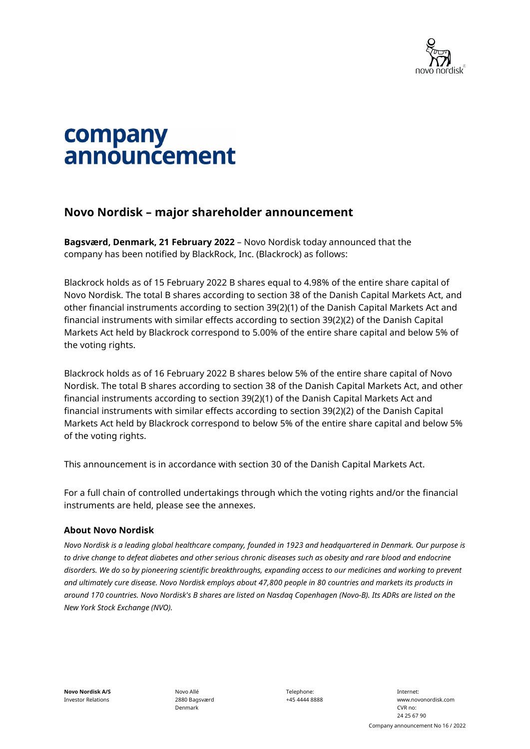

# company announcement

## **Novo Nordisk – major shareholder announcement**

**Bagsværd, Denmark, 21 February 2022** – Novo Nordisk today announced that the company has been notified by BlackRock, Inc. (Blackrock) as follows:

Blackrock holds as of 15 February 2022 B shares equal to 4.98% of the entire share capital of Novo Nordisk. The total B shares according to section 38 of the Danish Capital Markets Act, and other financial instruments according to section 39(2)(1) of the Danish Capital Markets Act and financial instruments with similar effects according to section 39(2)(2) of the Danish Capital Markets Act held by Blackrock correspond to 5.00% of the entire share capital and below 5% of the voting rights.

Blackrock holds as of 16 February 2022 B shares below 5% of the entire share capital of Novo Nordisk. The total B shares according to section 38 of the Danish Capital Markets Act, and other financial instruments according to section 39(2)(1) of the Danish Capital Markets Act and financial instruments with similar effects according to section 39(2)(2) of the Danish Capital Markets Act held by Blackrock correspond to below 5% of the entire share capital and below 5% of the voting rights.

This announcement is in accordance with section 30 of the Danish Capital Markets Act.

For a full chain of controlled undertakings through which the voting rights and/or the financial instruments are held, please see the annexes.

#### **About Novo Nordisk**

*Novo Nordisk is a leading global healthcare company, founded in 1923 and headquartered in Denmark. Our purpose is*  to drive change to defeat diabetes and other serious chronic diseases such as obesity and rare blood and endocrine *disorders. We do so by pioneering scientific breakthroughs, expanding access to our medicines and working to prevent and ultimately cure disease. Novo Nordisk employs about 47,800 people in 80 countries and markets its products in around 170 countries. Novo Nordisk's B shares are listed on Nasdaq Copenhagen (Novo-B). Its ADRs are listed on the New York Stock Exchange (NVO).*

**Novo Nordisk A/S** Investor Relations Novo Allé 2880 Bagsværd Denmark

Telephone: +45 4444 8888

Internet: www.novonordisk.com CVR no: 24 25 67 90 Company announcement No 16 / 2022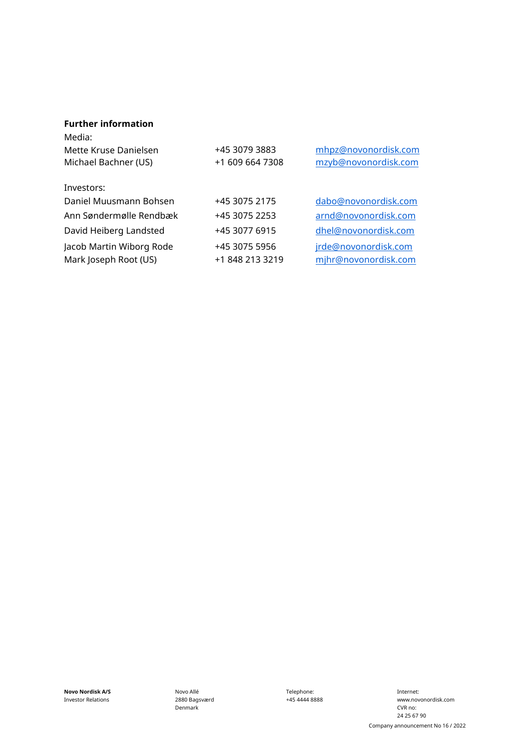### **Further information**

| Media:<br>Mette Kruse Danielsen<br>Michael Bachner (US) | +45 3079 3883<br>+1 609 664 7308 | mhpz@novonordisk.com<br>mzyb@novonordisk.com |
|---------------------------------------------------------|----------------------------------|----------------------------------------------|
| Investors:                                              |                                  |                                              |
| Daniel Muusmann Bohsen                                  | +45 3075 2175                    | dabo@novonordisk.com                         |
| Ann Søndermølle Rendbæk                                 | +45 3075 2253                    | arnd@novonordisk.com                         |
| David Heiberg Landsted                                  | +45 3077 6915                    | dhel@novonordisk.com                         |
| Jacob Martin Wiborg Rode                                | +45 3075 5956                    | jrde@novonordisk.com                         |
| Mark Joseph Root (US)                                   | +1 848 213 3219                  | mjhr@novonordisk.com                         |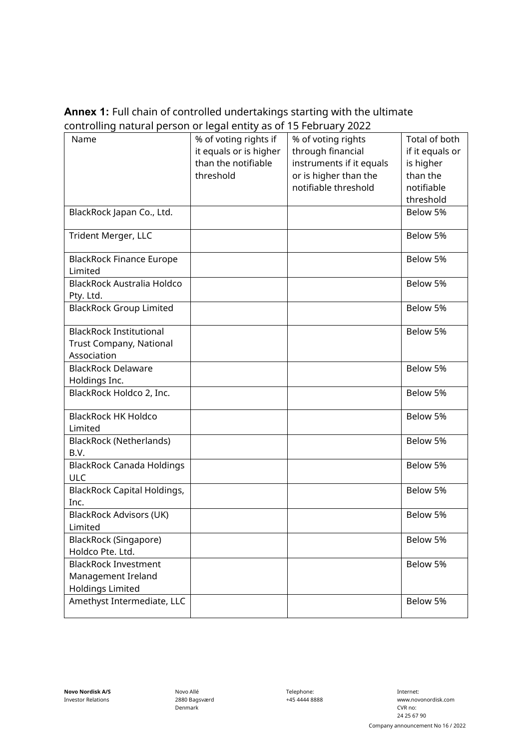## **Annex 1:** Full chain of controlled undertakings starting with the ultimate controlling natural person or legal entity as of 15 February 2022

| Name                               | % of voting rights if  | % of voting rights       | Total of both   |
|------------------------------------|------------------------|--------------------------|-----------------|
|                                    | it equals or is higher | through financial        | if it equals or |
|                                    | than the notifiable    | instruments if it equals | is higher       |
|                                    | threshold              | or is higher than the    | than the        |
|                                    |                        | notifiable threshold     | notifiable      |
|                                    |                        |                          | threshold       |
| BlackRock Japan Co., Ltd.          |                        |                          | Below 5%        |
|                                    |                        |                          |                 |
| Trident Merger, LLC                |                        |                          | Below 5%        |
|                                    |                        |                          |                 |
| <b>BlackRock Finance Europe</b>    |                        |                          | Below 5%        |
| Limited                            |                        |                          |                 |
| BlackRock Australia Holdco         |                        |                          | Below 5%        |
| Pty. Ltd.                          |                        |                          |                 |
| <b>BlackRock Group Limited</b>     |                        |                          | Below 5%        |
|                                    |                        |                          |                 |
| <b>BlackRock Institutional</b>     |                        |                          | Below 5%        |
| Trust Company, National            |                        |                          |                 |
| Association                        |                        |                          |                 |
| <b>BlackRock Delaware</b>          |                        |                          | Below 5%        |
| Holdings Inc.                      |                        |                          |                 |
| BlackRock Holdco 2, Inc.           |                        |                          | Below 5%        |
|                                    |                        |                          |                 |
| <b>BlackRock HK Holdco</b>         |                        |                          | Below 5%        |
| Limited                            |                        |                          |                 |
| <b>BlackRock (Netherlands)</b>     |                        |                          | Below 5%        |
| B.V.                               |                        |                          |                 |
| <b>BlackRock Canada Holdings</b>   |                        |                          | Below 5%        |
| <b>ULC</b>                         |                        |                          |                 |
| <b>BlackRock Capital Holdings,</b> |                        |                          | Below 5%        |
| Inc.                               |                        |                          |                 |
| <b>BlackRock Advisors (UK)</b>     |                        |                          | Below 5%        |
| Limited                            |                        |                          |                 |
|                                    |                        |                          |                 |
| BlackRock (Singapore)              |                        |                          | Below 5%        |
| Holdco Pte. Ltd.                   |                        |                          |                 |
| <b>BlackRock Investment</b>        |                        |                          | Below 5%        |
| Management Ireland                 |                        |                          |                 |
| <b>Holdings Limited</b>            |                        |                          |                 |
| Amethyst Intermediate, LLC         |                        |                          | Below 5%        |
|                                    |                        |                          |                 |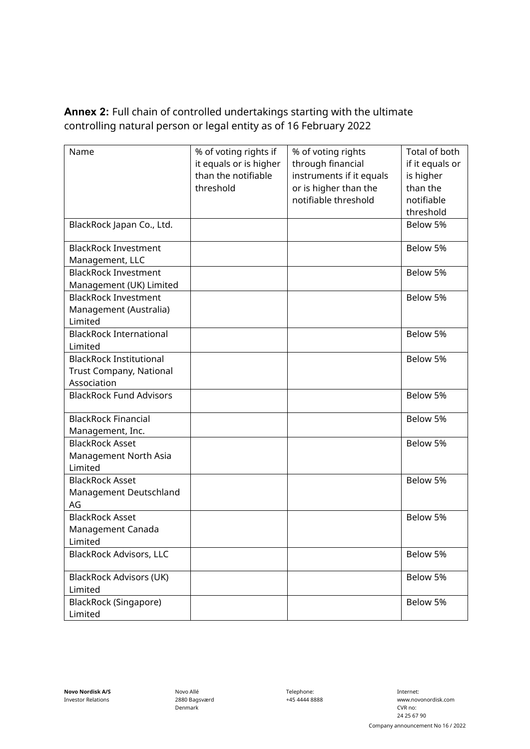**Annex 2:** Full chain of controlled undertakings starting with the ultimate controlling natural person or legal entity as of 16 February 2022

| Name                           | % of voting rights if  | % of voting rights       | Total of both   |
|--------------------------------|------------------------|--------------------------|-----------------|
|                                | it equals or is higher | through financial        | if it equals or |
|                                | than the notifiable    | instruments if it equals | is higher       |
|                                | threshold              | or is higher than the    | than the        |
|                                |                        | notifiable threshold     | notifiable      |
|                                |                        |                          | threshold       |
| BlackRock Japan Co., Ltd.      |                        |                          | Below 5%        |
|                                |                        |                          |                 |
| <b>BlackRock Investment</b>    |                        |                          | Below 5%        |
| Management, LLC                |                        |                          |                 |
| <b>BlackRock Investment</b>    |                        |                          | Below 5%        |
| Management (UK) Limited        |                        |                          |                 |
| <b>BlackRock Investment</b>    |                        |                          | Below 5%        |
| Management (Australia)         |                        |                          |                 |
| Limited                        |                        |                          |                 |
| <b>BlackRock International</b> |                        |                          | Below 5%        |
| Limited                        |                        |                          |                 |
| <b>BlackRock Institutional</b> |                        |                          | Below 5%        |
| Trust Company, National        |                        |                          |                 |
| Association                    |                        |                          |                 |
| <b>BlackRock Fund Advisors</b> |                        |                          | Below 5%        |
| <b>BlackRock Financial</b>     |                        |                          | Below 5%        |
| Management, Inc.               |                        |                          |                 |
| <b>BlackRock Asset</b>         |                        |                          | Below 5%        |
| Management North Asia          |                        |                          |                 |
| Limited                        |                        |                          |                 |
| <b>BlackRock Asset</b>         |                        |                          | Below 5%        |
| Management Deutschland         |                        |                          |                 |
| AG                             |                        |                          |                 |
| <b>BlackRock Asset</b>         |                        |                          | Below 5%        |
| Management Canada              |                        |                          |                 |
| Limited                        |                        |                          |                 |
| <b>BlackRock Advisors, LLC</b> |                        |                          | Below 5%        |
| <b>BlackRock Advisors (UK)</b> |                        |                          | Below 5%        |
| Limited                        |                        |                          |                 |
|                                |                        |                          | Below 5%        |
| BlackRock (Singapore)          |                        |                          |                 |
| Limited                        |                        |                          |                 |